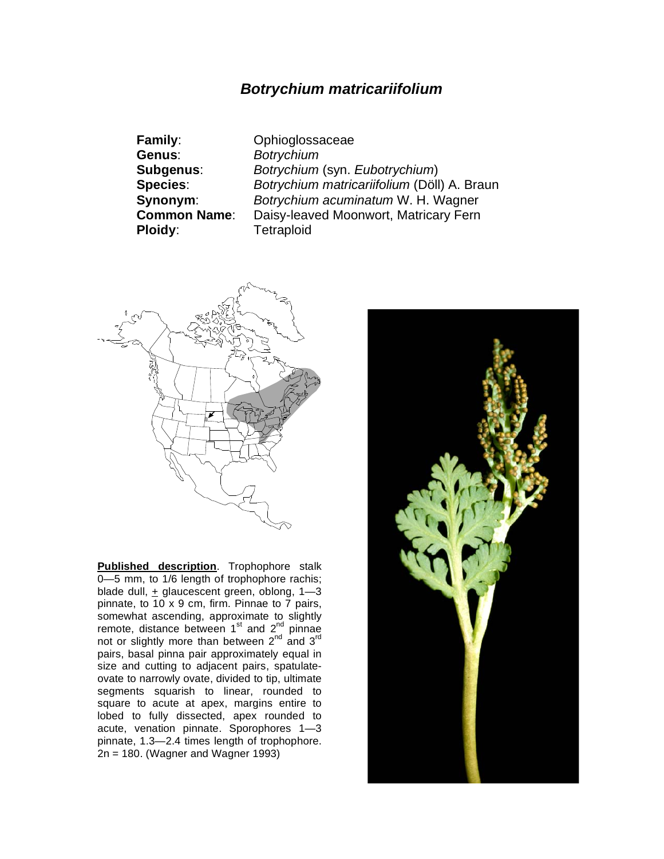## *Botrychium matricariifolium*

| <b>Family:</b>      |
|---------------------|
| Genus:              |
| Subgenus:           |
| <b>Species:</b>     |
| Synonym:            |
| <b>Common Name:</b> |
| Ploidy:             |

**Family**: Ophioglossaceae **Genus**: *Botrychium* **Subgenus**: *Botrychium* (syn. *Eubotrychium*) **Species**: *Botrychium matricariifolium* (Döll) A. Braun **Synonym**:*Botrychium acuminatum* W. H. Wagner Daisy-leaved Moonwort, Matricary Fern **Ploidy**: Tetraploid



**Published description**. Trophophore stalk 0–5 mm, to 1/6 length of trophophore rachis; blade dull, + glaucescent green, oblong, 1—3 pinnate, to 10 x 9 cm, firm. Pinnae to 7 pairs, somewhat ascending, approximate to slightly remote, distance between  $1<sup>st</sup>$  and  $2<sup>nd</sup>$  pinnae not or slightly more than between  $2^{nd}$  and  $3^{rd}$ pairs, basal pinna pair approximately equal in size and cutting to adjacent pairs, spatulateovate to narrowly ovate, divided to tip, ultimate segments squarish to linear, rounded to square to acute at apex, margins entire to lobed to fully dissected, apex rounded to acute, venation pinnate. Sporophores 1—3 pinnate, 1.3—2.4 times length of trophophore. 2n = 180. (Wagner and Wagner 1993)

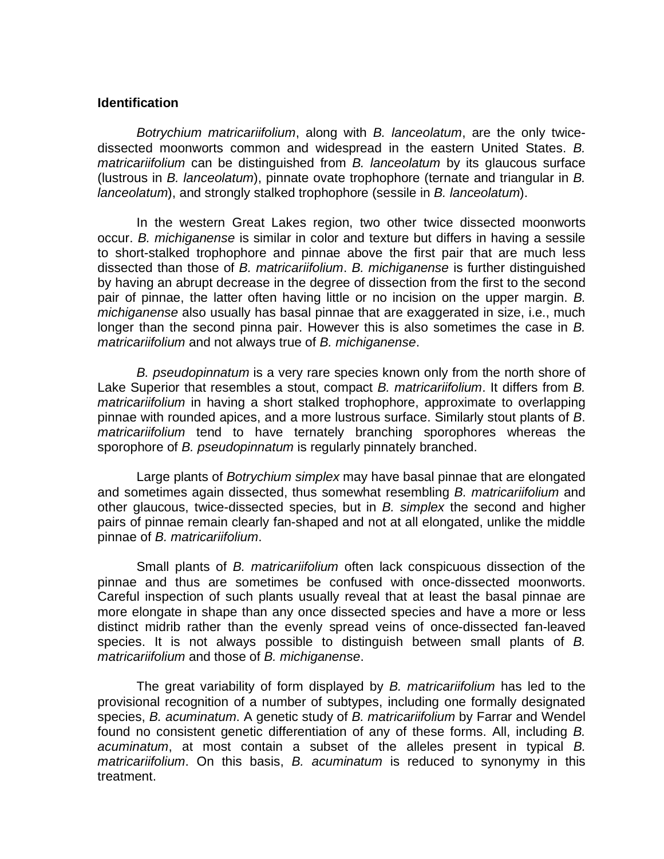## **Identification**

*Botrychium matricariifolium*, along with *B. lanceolatum*, are the only twicedissected moonworts common and widespread in the eastern United States. *B. matricariifolium* can be distinguished from *B. lanceolatum* by its glaucous surface (lustrous in *B. lanceolatum*), pinnate ovate trophophore (ternate and triangular in *B. lanceolatum*), and strongly stalked trophophore (sessile in *B. lanceolatum*).

 In the western Great Lakes region, two other twice dissected moonworts occur. *B. michiganense* is similar in color and texture but differs in having a sessile to short-stalked trophophore and pinnae above the first pair that are much less dissected than those of *B. matricariifolium*. *B. michiganense* is further distinguished by having an abrupt decrease in the degree of dissection from the first to the second pair of pinnae, the latter often having little or no incision on the upper margin. *B. michiganense* also usually has basal pinnae that are exaggerated in size, i.e., much longer than the second pinna pair. However this is also sometimes the case in *B. matricariifolium* and not always true of *B. michiganense*.

*B. pseudopinnatum* is a very rare species known only from the north shore of Lake Superior that resembles a stout, compact *B. matricariifolium*. It differs from *B. matricariifolium* in having a short stalked trophophore, approximate to overlapping pinnae with rounded apices, and a more lustrous surface. Similarly stout plants of *B*. *matricariifolium* tend to have ternately branching sporophores whereas the sporophore of *B. pseudopinnatum* is regularly pinnately branched.

 Large plants of *Botrychium simplex* may have basal pinnae that are elongated and sometimes again dissected, thus somewhat resembling *B. matricariifolium* and other glaucous, twice-dissected species, but in *B. simplex* the second and higher pairs of pinnae remain clearly fan-shaped and not at all elongated, unlike the middle pinnae of *B. matricariifolium*.

Small plants of *B. matricariifolium* often lack conspicuous dissection of the pinnae and thus are sometimes be confused with once-dissected moonworts. Careful inspection of such plants usually reveal that at least the basal pinnae are more elongate in shape than any once dissected species and have a more or less distinct midrib rather than the evenly spread veins of once-dissected fan-leaved species. It is not always possible to distinguish between small plants of *B. matricariifolium* and those of *B. michiganense*.

 The great variability of form displayed by *B. matricariifolium* has led to the provisional recognition of a number of subtypes, including one formally designated species, *B. acuminatum*. A genetic study of *B. matricariifolium* by Farrar and Wendel found no consistent genetic differentiation of any of these forms. All, including *B. acuminatum*, at most contain a subset of the alleles present in typical *B. matricariifolium*. On this basis, *B. acuminatum* is reduced to synonymy in this treatment.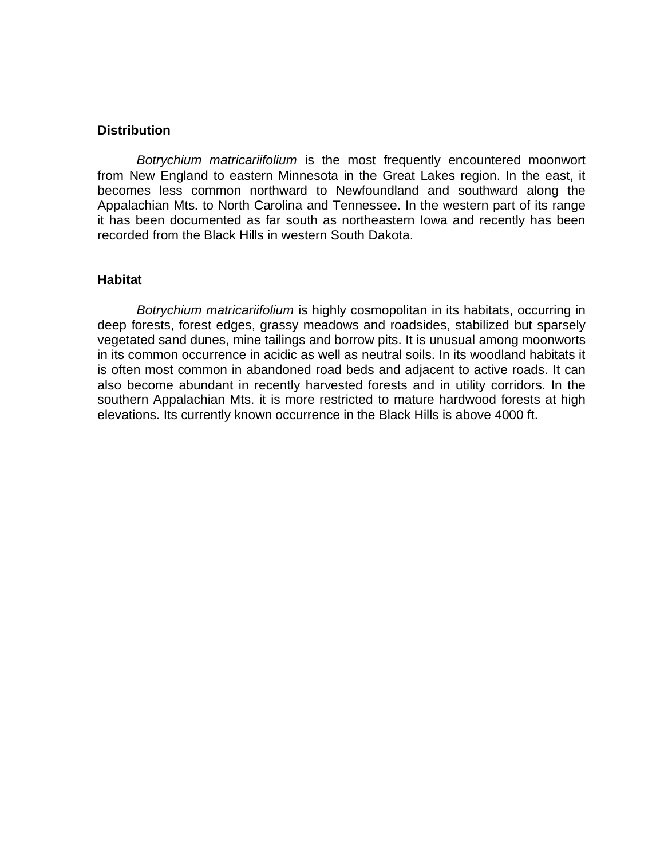## **Distribution**

*Botrychium matricariifolium* is the most frequently encountered moonwort from New England to eastern Minnesota in the Great Lakes region. In the east, it becomes less common northward to Newfoundland and southward along the Appalachian Mts. to North Carolina and Tennessee. In the western part of its range it has been documented as far south as northeastern Iowa and recently has been recorded from the Black Hills in western South Dakota.

## **Habitat**

*Botrychium matricariifolium* is highly cosmopolitan in its habitats, occurring in deep forests, forest edges, grassy meadows and roadsides, stabilized but sparsely vegetated sand dunes, mine tailings and borrow pits. It is unusual among moonworts in its common occurrence in acidic as well as neutral soils. In its woodland habitats it is often most common in abandoned road beds and adjacent to active roads. It can also become abundant in recently harvested forests and in utility corridors. In the southern Appalachian Mts. it is more restricted to mature hardwood forests at high elevations. Its currently known occurrence in the Black Hills is above 4000 ft.